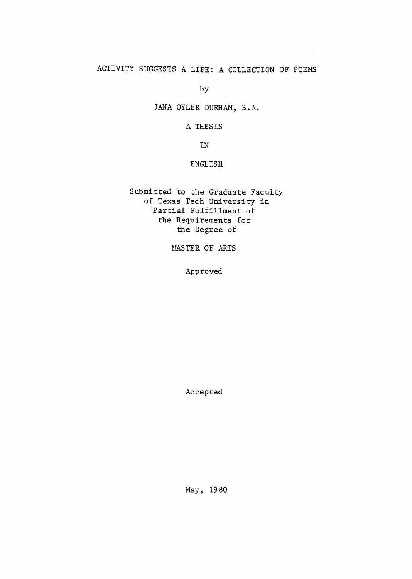# ACTIVITY SUGGESTS A LIFE: A COLLECTION OF POEMS

by

JANA OYLER DURHAM, B.A.

### A THESIS

IN

## ENGLISH

Submitted to the Graduate Faculty of Texas Tech University in Partial Fulfillment of the Requirements for the Degree of

MASTER OF ARTS

Approved

Accepted

May, 1980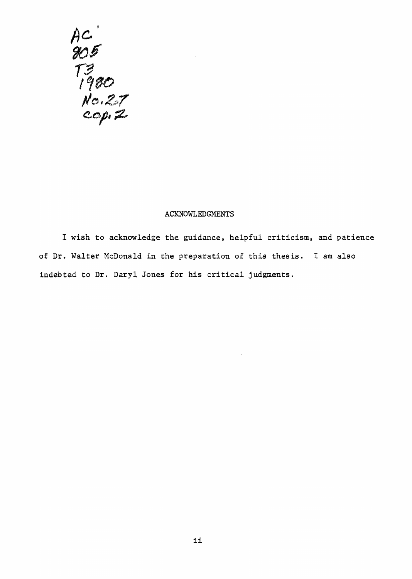**AC**<br>205<br>T300<br>1900<br>No.27<br>Cop.2

#### ACKNOWLEDGMENTS

I wish to acknowledge the guidance, helpful criticism, and patience of Dr. Walter McDonald in the preparation of this thesis. I am also indebted to Dr. Daryl Jones for his critical judgments.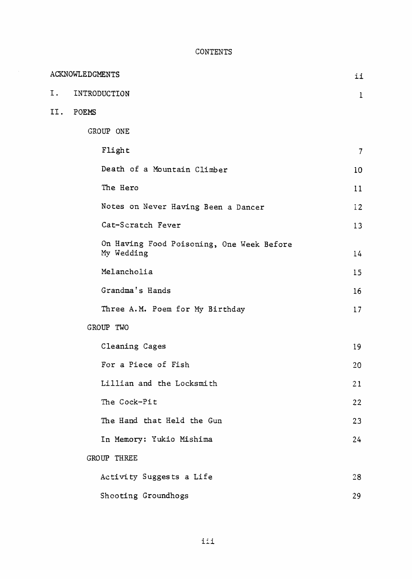CONTENTS

 $\mathcal{L}_{\mathcal{A}}$ 

|     | ACKNOWLEDGMENTS                                         | ii             |
|-----|---------------------------------------------------------|----------------|
| Ι.  | INTRODUCTION                                            | $\mathbf 1$    |
| II. | POEMS                                                   |                |
|     | GROUP ONE                                               |                |
|     | Flight                                                  | $\overline{7}$ |
|     | Death of a Mountain Climber                             | 10             |
|     | The Hero                                                | 11             |
|     | Notes on Never Having Been a Dancer                     | 12             |
|     | Cat-Scratch Fever                                       | 13             |
|     | On Having Food Poisoning, One Week Before<br>My Wedding | 14             |
|     | Melancholia                                             | 15             |
|     | Grandma's Hands                                         | 16             |
|     | Three A.M. Poem for My Birthday                         | 17             |
|     | GROUP TWO                                               |                |
|     | Cleaning Cages                                          | 19             |
|     | For a Piece of Fish                                     | 20             |
|     | Lillian and the Locksmith                               | 21             |
|     | The Cock-Pit                                            | 22             |
|     | The Hand that Held the Gun                              | 23             |
|     | In Memory: Yukio Mishima                                | 24             |
|     | GROUP THREE                                             |                |
|     | Activity Suggests a Life                                | 28             |
|     | $Chapter 2$                                             | ററ             |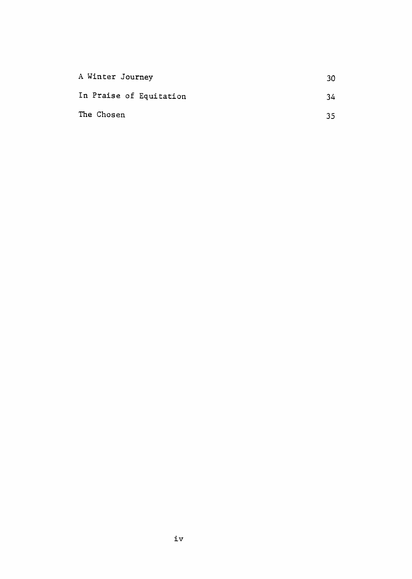| A Winter Journey        | 30 |
|-------------------------|----|
| In Praise of Equitation | 34 |
| The Chosen              | 35 |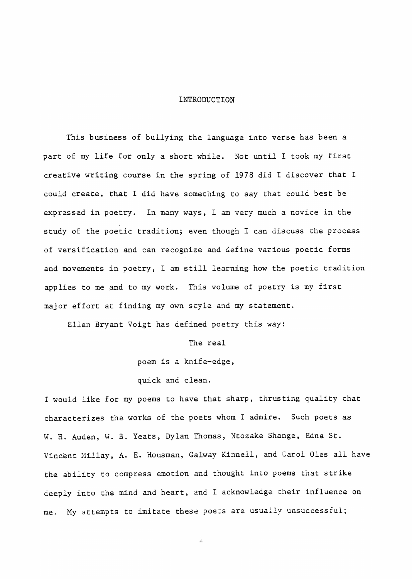#### INTRODUCTION

This business of bullying the language into verse has been a part of my life for only a short while. Not until I took my first creative writing course in the spring of 1978 did I discover that I could create, that I did have something to say that could best be expressed in poetry. In many ways, I am very much a novice in the study of the poetic tradition; even though I can discuss the process of versification and can recognize and define various poetic forms and movements in poetry, I am still learning how the poetic tradition applies to me and to my work. This volume of poetry is my first major effort at finding my own style and my statement.

Ellen Bryant Voigt has defined poetry this way:

The real

poem is a knife-edge,

quick and clean.

I would like for my poems to have that sharp, thrusting quality that characterizes the works of the poets whom I admire. Such poets as W. H. Auden, W. B. Yeats, Dylan Thomas, Ntozake Shange, Edna St. Vincent Millay, A. E. Housman, Galway Kinnell, and Carol Oles all have the ability to compress emotion and thought into poems that strike deeply into the mind and heart, and I acknowledge their influence on me. My attempts to imitate these poets are usually unsuccessful;

 $\ddot{\perp}$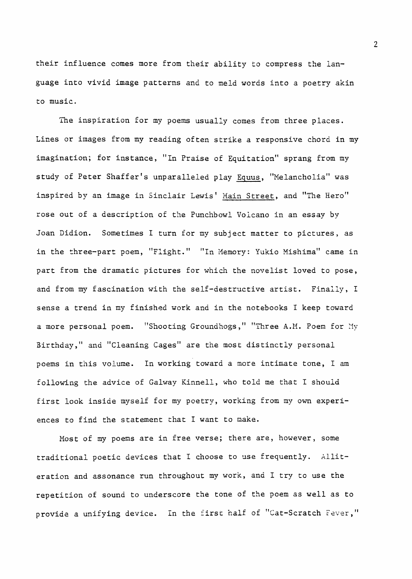their influence comes more from their ability to compress the language into vivid image patterns and to meld words into a poetry akin to music.

The inspiration for my poems usually comes from three places. Lines or images from my reading often strike a responsive chord in my imagination; for instance, "In Praise of Equitation" sprang from my study of Peter Shaffer's unparalleled play Equus, "Melancholia" was inspired by an image in Sinclair Lewis' Main Street, and "The Hero" rose out of a description of the Punchbowl Volcano in an essay by Joan Didion. Sometimes I turn for my subject matter to pictures, as in the three-part poem, "Flight." "In Memory: Yukio Mishima" came in part from the dramatic pictures for which the novelist loved to pose, and from my fascination with the self-destructive artist. Finally, I sense a trend in my finished work and in the notebooks I keep toward a more personal poem. "Shooting Groundhogs," "Three A.M. Poem for My Birthday," and "Cleaning Cages" are the most distinctly personal poems in this volume. In working toward a more intimate tone, I am following the advice of Galway Kinnell, who told me that I should first look inside myself for my poetry, working from my own experiences to find the statement that I want to make.

Most of my poems are in free verse; there are, however, some traditional poetic devices that I choose to use frequently. Alliteration and assonance run throughout my work, and I try to use the repetition of sound to underscore the tone of the poem as well as to provide a unifying device. In the first half of "Cat-Scratch Fever,"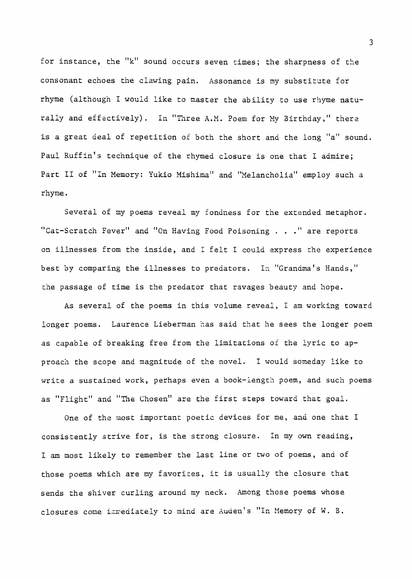for instance, the "k" sound occurs seven times; the sharpness of the consonant echoes the clawing pain. Assonance is my substitute for rhyme (although I would like to master the ability to use rhyme naturally and effectively). In "Three A.M. Poem for My Birthday," there is a great deal of repetition of both the short and the long "a" sound. Paul Ruffin's technique of the rhymed closure is one that I admire; Part II of "In Memory: Yukio Mishima" and "Melancholia" employ such a rhyme.

Several of my poems reveal my fondness for the extended metaphor. "Cat-Scratch Fever" and "On Having Food Poisoning ... " are reports on illnesses from the inside, and I felt I could express the experience best by comparing the illnesses to predators. In "Grandma's Hands," the passage of time is the predator that ravages beauty and hope.

As several of the poems in this volume reveal, I am working toward longer poems. Laurence Lieberman has said that he sees the longer poem as capable of breaking free from the limitations of the lyric to approach the scope and magnitude of the novel. I would someday like to write a sustained work, perhaps even a book-length poem, and such poems as "Flight" and "The Chosen" are the first steps toward that goal.

One of the most important poetic devices for me, and one that I consistently strive for, is the strong closure. In my own reading, I am most likely to remember the last line or two of poems, and of those poems which are my favorites, it is usually the closure that sends the shiver curling around my neck. Among those poems whose closures come immediately to mind are Auden's "In Memory of W. B.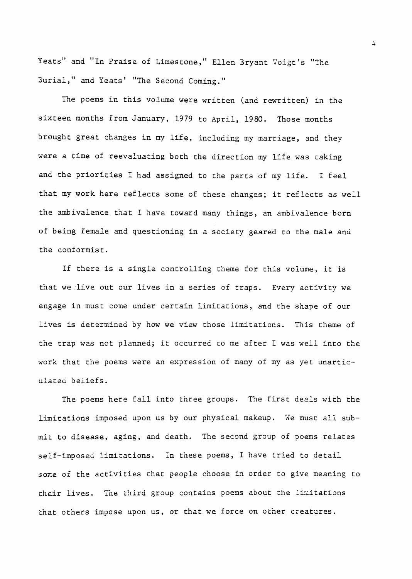Yeats" and "In Praise of Limestone," Ellen Bryant Voigt's "The 3urial," and Yeats' "The Second Coming."

The poems in this volume were written (and rewritten) in the sixteen months from January, 1979 to April, 1980. Those months brought great changes in my life, including my marriage, and they were a time of reevaluating both the direction my life was caking and the priorities I had assigned to the parts of my life. I feel that my work here reflects some of these changes; it reflects as well the ambivalence that I have toward many things, an ambivalence born of being female and questioning in a society geared to the male and the conformist.

If there is a single controlling theme for this volume, it is that we live out our lives in a series of traps. Every activity we engage in must come under certain limitations, and the shape of our lives is determined by how we view those limitations. This theme of the trap was not planned; it occurred co me after I was well into the work that the poems were an expression of many of my as yet unarticulated beliefs.

The poems here fall into three groups. The first deals with the limitations imposed upon us by our physical makeup. We must all submit to disease, aging, and death. The second group of poems relates self-imposed limitations. In these poems, I have tried to detail some of the activities that people choose in order to give meaning to their lives. The third group contains poems about the limitations that others impose upon us, or that we force on other creatures.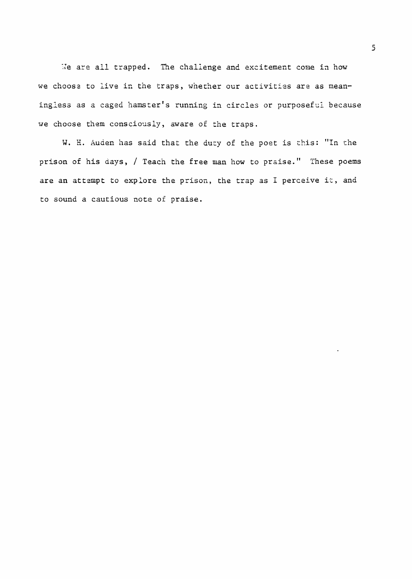We are all trapped. The challenge and excitement come in how we choose to live in the traps, whether our activities are as meaningless as a caged hamster's running in circles or purposeful because we choose them consciously, aware of the traps.

W. H. Auden has said that the duty of the poet is this: "In the prison of his days, / Teach the free man how to praise." These poems are an attempt to explore the prison, the trap as I perceive it, and to sound a cautious note of praise.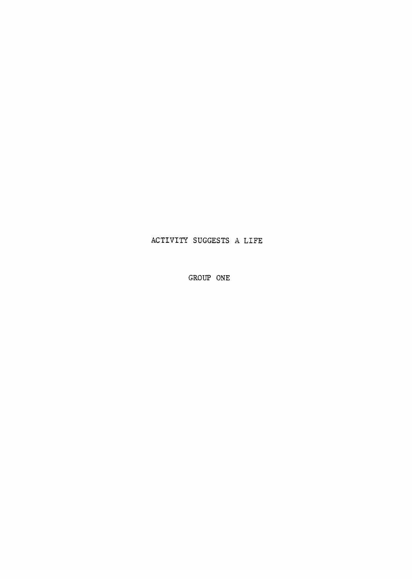# ACTIVITY SUGGESTS A LIFE

GROUP ONE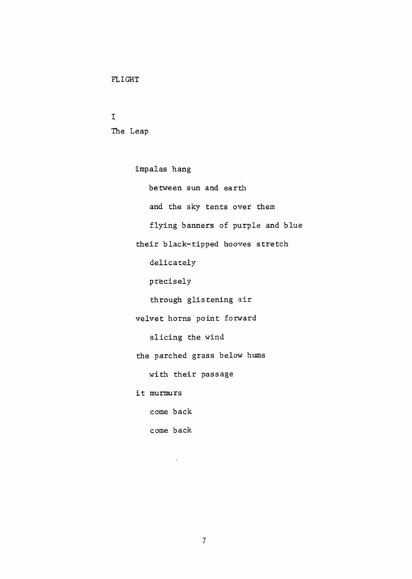# FLIGHT

I

The Leap

impalas hang between sun and earth and the sky tents over them flying banners of purple and blue their black-tipped hooves stretch delicately precisely through glistening air velvet horns point forward slicing the wind the parched grass below hums with their passage it murmurs come back come back

 $\ddot{\phantom{a}}$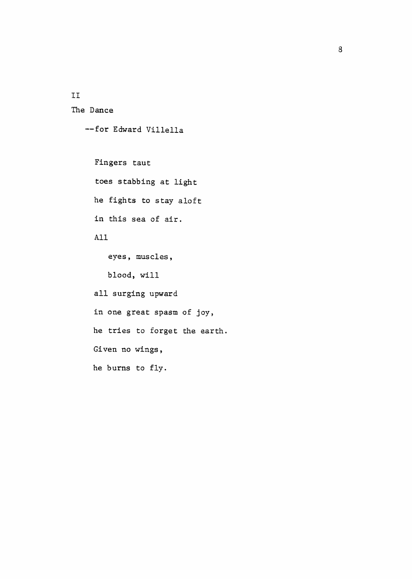II The Dance

—for Edward Villella

Fingers taut toes stabbing at light he fights to stay aloft in this sea of air. All eyes, muscles, blood, will all surging upward in one great spasm of joy, he tries to forget the earth. Given no wings, he burns to fly.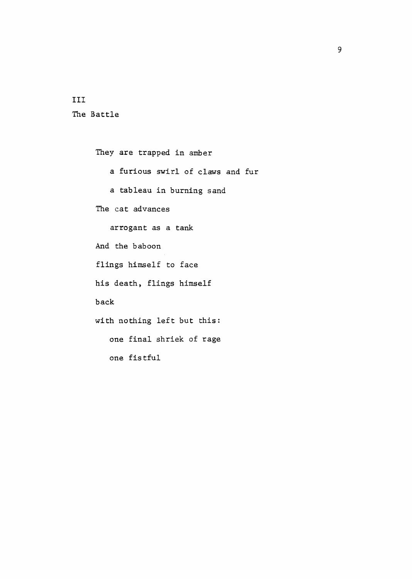Ill The Battle

> They are trapped in amber a furious swirl of claws and fur a tableau in burning sand The cat advances arrogant as a tank And the baboon flings himself to face his death, flings himself back with nothing left but this: one final shriek of rage one fistful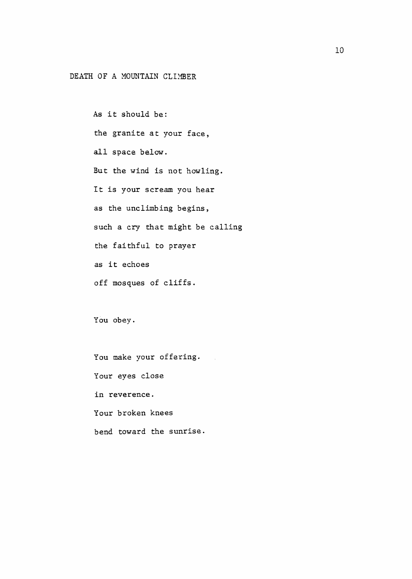As it should be: the granite at your face, all space below. But the wind is not howling. It is your scream you hear as the unclimbing begins, such a cry that might be calling the faithful to prayer as it echoes off mosques of cliffs.

You obey.

You make your offering.  $\sim 10$ Your eyes close in reverence. Your broken knees bend toward the sunrise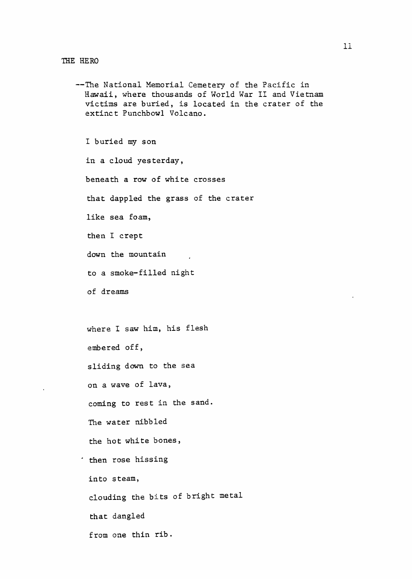$\sim 10^7$ 

| --The National Memorial Cemetery of the Pacific in<br>Hawaii, where thousands of World War II and Vietnam<br>victims are buried, is located in the crater of the<br>extinct Punchbowl Volcano. |
|------------------------------------------------------------------------------------------------------------------------------------------------------------------------------------------------|
| I buried my son                                                                                                                                                                                |
| in a cloud yesterday,                                                                                                                                                                          |
| beneath a row of white crosses                                                                                                                                                                 |
| that dappled the grass of the crater                                                                                                                                                           |
| like sea foam,                                                                                                                                                                                 |
| then I crept                                                                                                                                                                                   |
| down the mountain                                                                                                                                                                              |
| to a smoke-filled night                                                                                                                                                                        |
| of dreams                                                                                                                                                                                      |
|                                                                                                                                                                                                |
| where I saw him, his flesh                                                                                                                                                                     |
| embered off,                                                                                                                                                                                   |
| sliding down to the sea                                                                                                                                                                        |
| on a wave of lava,                                                                                                                                                                             |
| coming to rest in the sand.                                                                                                                                                                    |
| The water nibbled                                                                                                                                                                              |
| the hot white bones,                                                                                                                                                                           |
| then rose hissing                                                                                                                                                                              |
| into steam,                                                                                                                                                                                    |
| clouding the bits of bright metal                                                                                                                                                              |
| that dangled                                                                                                                                                                                   |
| from one thin rib.                                                                                                                                                                             |

 $\sim 10^4$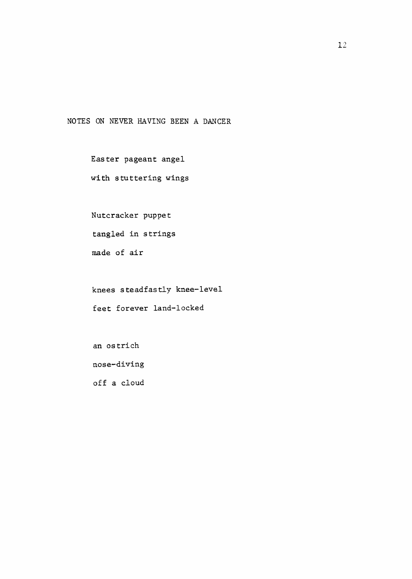NOTES ON NEVER HAVING BEEN A DANCER

Easter pageant angel with stuttering wings

Nutcracker puppet

tangled in strings

made of air

knees steadfastly knee-level

feet forever land-locked

an ostrich

nose-diving

off a cloud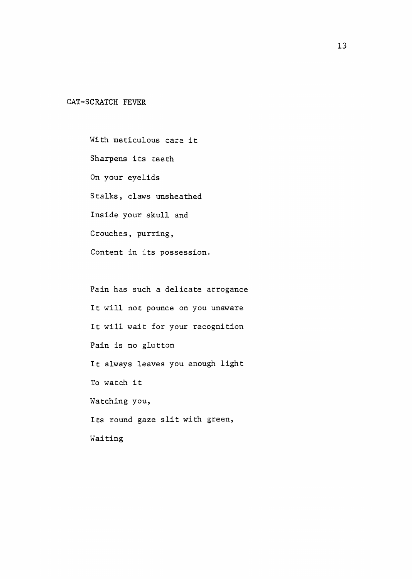#### CAT-SCRATCH FEVER

With meticulous care it Sharpens its teeth On your eyelids S talks, claws unsheathed Inside your skull and Crouches, purring. Content in its possession.

Pain has such a delicate arrogance It will not pounce on you unaware It will wait for your recognition Pain is no glutton It always leaves you enough light To watch it Watching you. Its round gaze slit with green, Waiting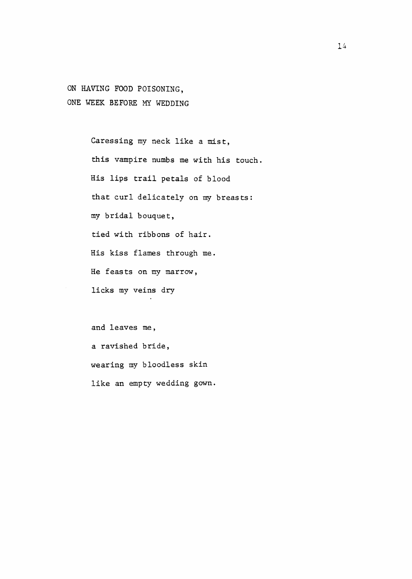ON HAVING FOOD POISONING, ONE WEEK BEFORE MY WEDDING

> Caressing my neck like a mist, this vampire numbs me with his touch His lips trail petals of blood that curl delicately on my breasts: my bridal bouquet, tied with ribbons of hair. His kiss flames through me. He feasts on my marrow, licks my veins dry

and leaves me, a ravished bride, wearing my bloodless skin like an empty wedding gown.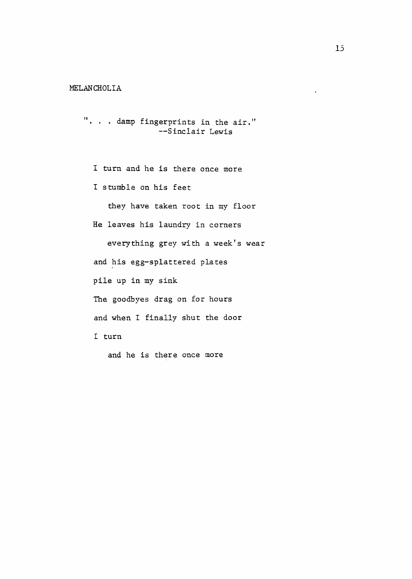$" \cdot \cdot \cdot$  damp fingerprints in the air." --Sinclair Lewis

I turn and he is there once more

I stumble on his feet

they have taken root in my floor He leaves his laundry in corners everything grey with a week's wear and his egg-splattered plates pile up in my sink The goodbyes drag on for hours and when I finally shut the door I turn and he is there once more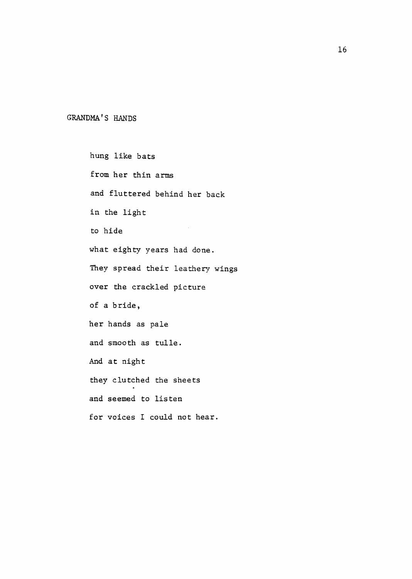GRANDMA'S HANDS

hung like bats from her thin arms and fluttered behind her back in the light to hide what eighty years had done. They spread their leathery wings over the crackled picture of a bride, her hands as pale and smooth as tulle. And at night they clutched the sheets and seemed to listen for voices I could not hear.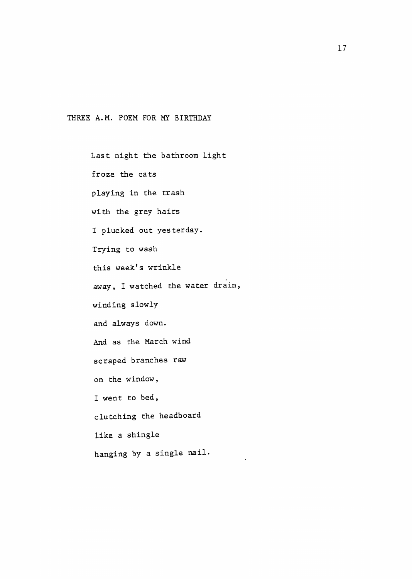THREE A.M. POEM FOR MY BIRTHDAY

Last night the bathroom light froze the cats playing in the trash with the grey hairs I plucked out yesterday . Trying to wash this week's wrinkle away, I watched the water drain, winding slowly and always down. And as the March wind scraped branches raw on the window, I went to bed, clutching the headboard like a shingle hanging by a single nail.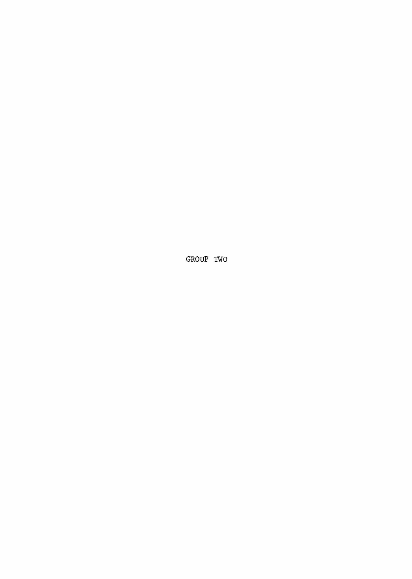GROUP TWO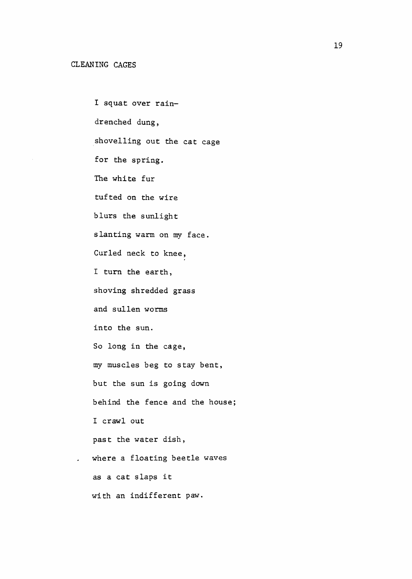$\mathbf{z}$ 

I squat over raindrenched dung, shovelling out the cat cage for the spring. The white fur tufted on the wire blurs the sunlight slanting warm on my face. Curled neck to knee, I turn the earth, shoving shredded grass and sullen worms into the sun. So long in the cage, my muscles beg to stay bent, but the sun is going down behind the fence and the house; I crawl out past the water dish, where a floating beetle waves as a cat slaps it with an indifferent paw.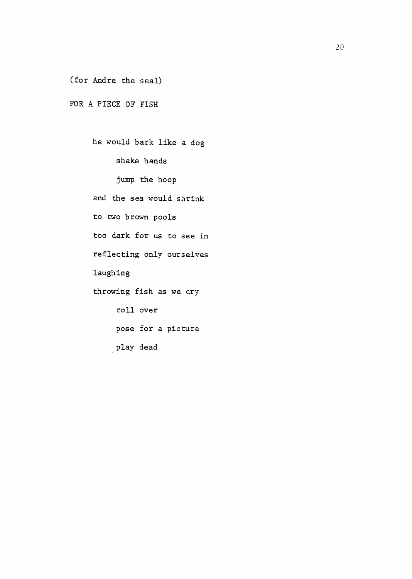(for Andre the seal)

FOR A PIECE OF FISH

he would bark like a dog shake hands jump the hoop and the sea would shrink to two brown pools too dark for us to see in reflecting only ourselves laughing throwing fish as we cry roll over pose for a picture play dead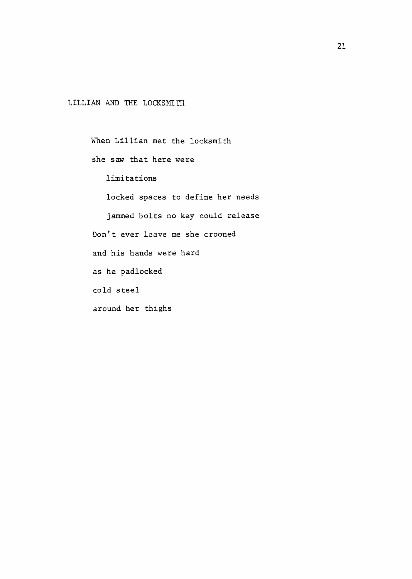When Lillian met the locksmith

she saw that here were

limitations

locked spaces to define her needs

jammed bolts no key could release Don't ever leave me she crooned and his hands were hard as he padlocked cold steel around her thighs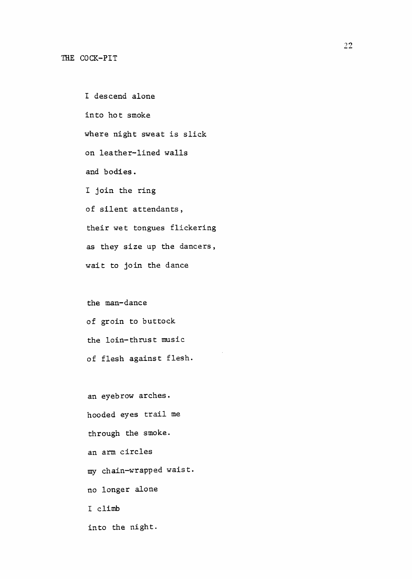I descend alone into hot smoke where night sweat is slick on leather-lined walls and bodies. I join the ring of silent attendants, their wet tongues flickering as they size up the dancers, wait to join the dance

the man-dance of groin to buttock the loin-thrust music of flesh against flesh.

an eyebrow arches. hooded eyes trail me through the smoke. an arm circles my chain-wrapped waist. no longer alone I climb into the night.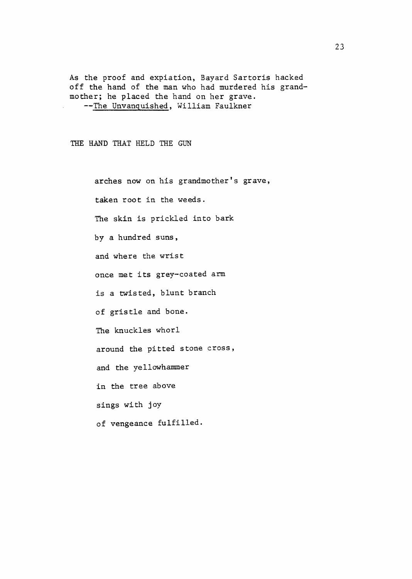As the proof and expiation, Bayard Sartoris hacked off the hand of the man who had murdered his grandmother; he placed the hand on her grave. --The Unvanquished, William Faulkner

THE HAND THAT HELD THE GUN

arches now on his grandmother's grave, taken root in the weeds. The skin is prickled into bark by a hundred suns, and where the wrist once met its grey-coated arm is a twisted, blunt branch of gristle and bone. The knuckles whorl around the pitted stone cross, and the yellowhammer in the tree above sings with joy of vengeance fulfilled.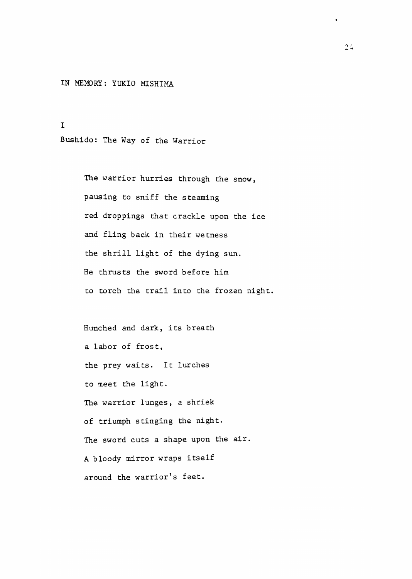IN MEMORY: YUKIO MISHIMA

I

Bushido: The Way of the Warrior

The warrior hurries through the snow, pausing to sniff the steaming red droppings that crackle upon the ice and fling back in their wetness the shrill light of the dying sun. He thrusts the sword before him to torch the trail into the frozen night.

Hunched and dark, its breath a labor of frost, the prey waits. It lurches to meet the light. The warrior lunges, a shriek of triumph stinging the night. The sword cuts a shape upon the air. A bloody mirror wraps itself around the warrior's feet.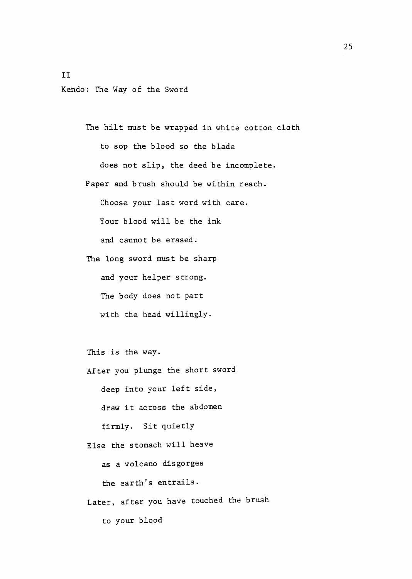Kendo: The Way of the Sword

II

The hilt must be wrapped in white cotton cloth to sop the blood so the blade does not slip, the deed be incomplete. Paper and brush should be within reach. Choose your last word with care. Your blood will be the ink and cannot be erased. The long sword must be sharp and your helper strong. The body does not part with the head willingly.

This is the way.

After you plunge the short sword deep into your left side, draw it across the abdomen firmly. Sit quietly Else the stomach will heave as a volcano disgorges the earth's entrails. Later, after you have touched the brush

to your blood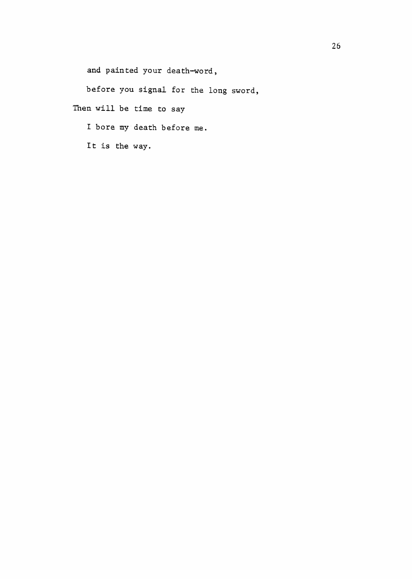and painted your death-word,

before you signal for the long sword,

Then will be time to say

I bore my death before me.

It is the way.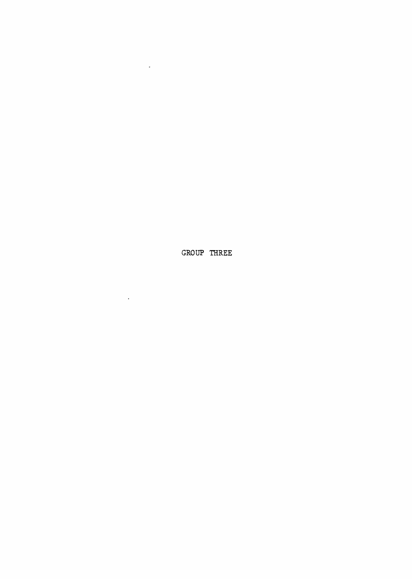GROUP THREE

 $\sim 10^{-10}$ 

 $\mathcal{L}^{\text{max}}_{\text{max}}$  .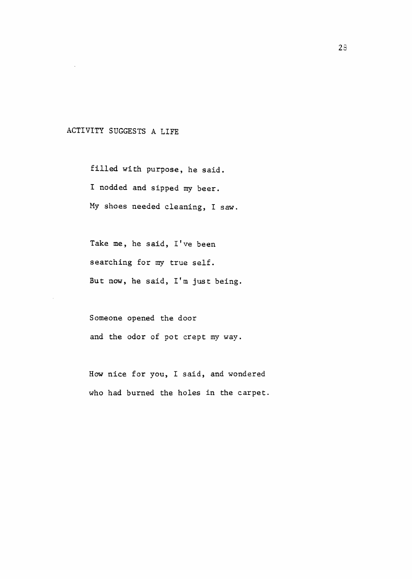# ACTIVITY SUGGESTS A LIFE

filled with purpose, he said. I nodded and sipped my beer. My shoes needed cleaning, I saw.

Take me, he said, I've been searching for my true self. But now, he said, I'm just being.

Someone opened the door and the odor of pot crept my way,

How nice for you, I said, and wondered who had burned the holes in the carpet,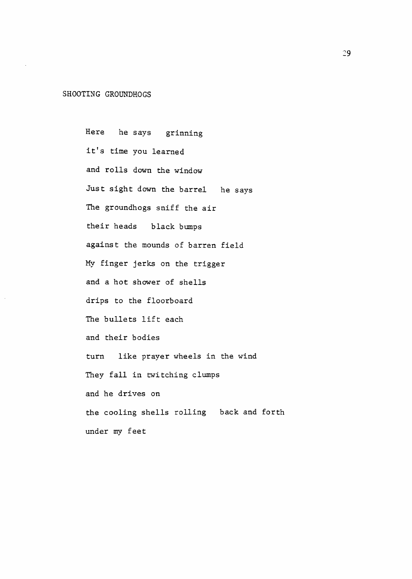#### SHOOTING GROUNDHOGS

Here he says grinning it's time you learned and rolls down the window Just sight down the barrel he says The groundhogs sniff the air their heads black bumps against the mounds of barren field My finger jerks on the trigger and a hot shower of shells drips to the floorboard The bullets lift each and their bodies turn like prayer wheels in the wind They fall in twitching clumps and he drives on the cooling shells rolling back and forth under my feet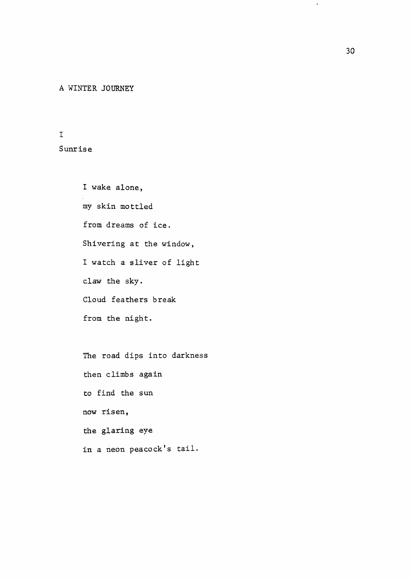# I

Sunrise

I wake alone, my skin mottled from dreams of ice. Shivering at the window, I watch a sliver of light claw the sky. Cloud feathers break from the night.

The road dips into darkness then climbs again to find the sun now risen, the glaring eye in a neon peacock's tail.

 $\ddot{\phantom{0}}$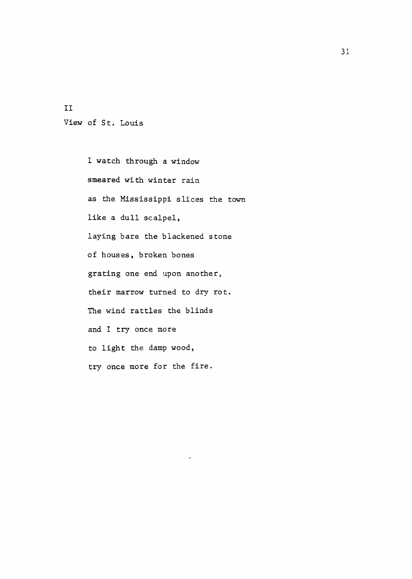II View of St. Louis

> I watch through a window smeared with winter rain as the Mississippi slices the town like a dull scalpel, laying bare the blackened stone of houses, broken bones grating one end upon another, their marrow turned to dry rot. The wind rattles the blinds and I try once more to light the damp wood, try once more for the fire.

31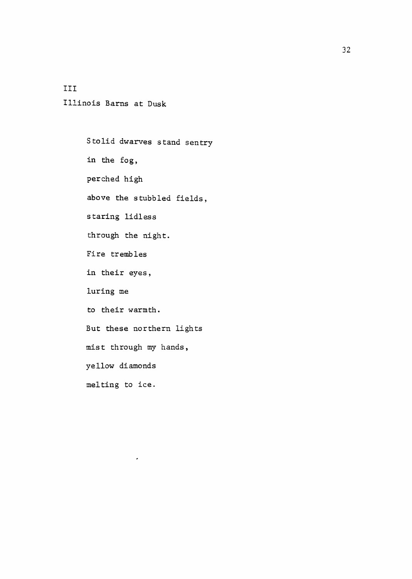III Illinois Barns at Dusk

> Stolid dwarves stand sentry in the fog, perched high above the stubbled fields, staring lidless through the night. Fire trembles in their eyes, luring me to their warmth. But these northern lights mist through my hands, yellow diamonds melting to ice.

> > $\ddot{\phantom{0}}$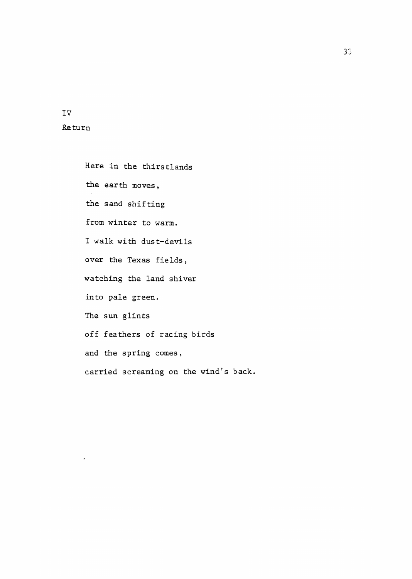IV Return

l.

Here in the thirstlands the earth moves, the sand shifting from winter to warm. I walk with dust-devils over the Texas fields, watching the land shiver into pale green. The sun glints off feathers of racing birds and the spring comes, carried screaming on the wind's back.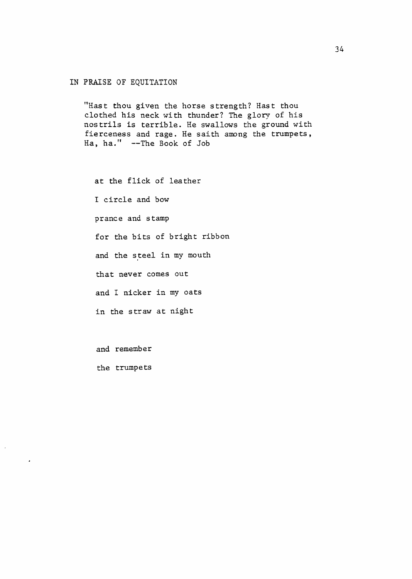### IN PRAISE OF EQUITATION

"Hast thou given the horse strength? Hast thou clothed his neck with thunder? The glory of his nostrils is terrible. He swallows the ground with fierceness and rage. He saith among the trumpets, Ha, ha." —The Book of Job

at the flick of leather I circle and bow prance and stamp for the bits of bright ribbon and the steel in my mouth that never comes out and I nicker in my oats in the straw at night

and remember

the trumpets

 $\lambda$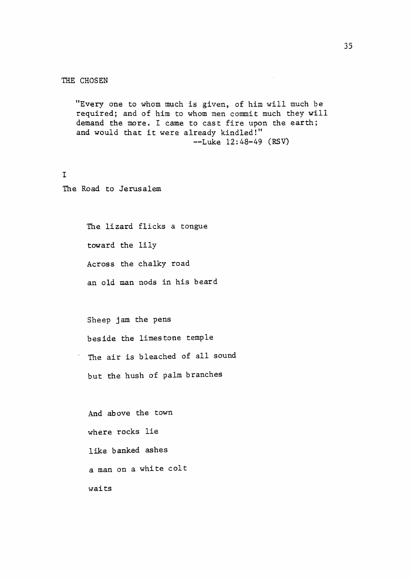THE CHOSEN "Every one to whom much is given, of him will much be required; and of him to whom men commit much they will demand the more. I came to cast fire upon the earth; and would that it were already kindled!" —Luke 12:48-49 (RSV) I The Road to Jerusalem The lizard flicks a tongue toward the lily Across the chalky road an old man nods in his beard Sheep jam the pens beside the limestone temple The air is bleached of all sound but the hush of palm branches

> And above the town where rocks lie like banked ashes a man on a white colt waits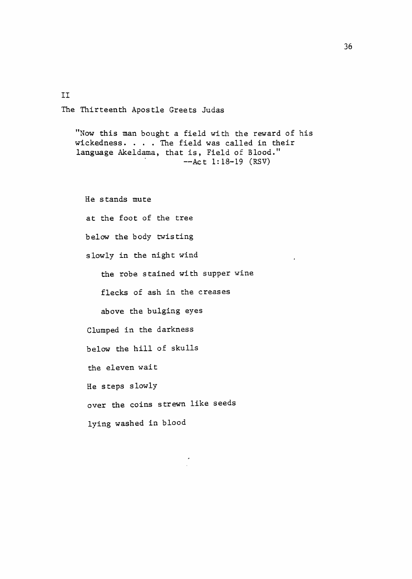II The Thirteenth Apostle Greets Judas "Now this man bought a field with the reward of his wickedness. . . . The field was called in their language Akeldama, that is, Field of Blood."  $-$ Act  $1:18-19$  (RSV) He stands mute at the foot of the tree below the body twisting slowly in the night wind the robe stained with supper wine flecks of ash in the creases above the bulging eyes Clumped in the darkness below the hill of skulls the eleven wait He steps slowly over the coins strewn like seeds lying washed in blood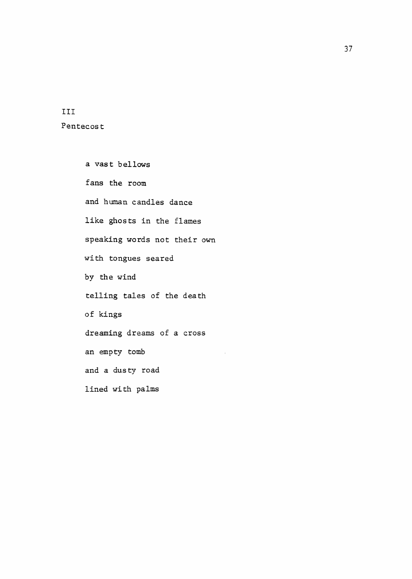III Pentecost

> a vast bellows fans the room and human candles dance like ghosts in the flames speaking words not their own with tongues seared by the wind telling tales of the death of kings dreaming dreams of a cross an empty tomb and a dusty road lined with palms

 $\sim$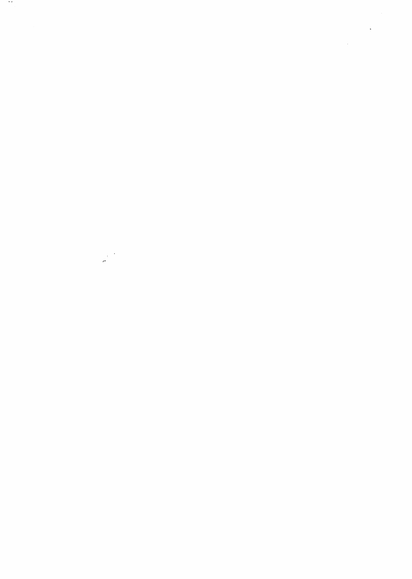$\mathcal{F}(\mathcal{F})$ 

 $\label{eq:2.1} \frac{1}{\sqrt{2\pi}}\int_{0}^{\infty}\frac{1}{\sqrt{2\pi}}\left(\frac{1}{\sqrt{2\pi}}\right)^{2\alpha} \frac{1}{\sqrt{2\pi}}\int_{0}^{\infty}\frac{1}{\sqrt{2\pi}}\frac{1}{\sqrt{2\pi}}\frac{1}{\sqrt{2\pi}}\frac{1}{\sqrt{2\pi}}\frac{1}{\sqrt{2\pi}}\frac{1}{\sqrt{2\pi}}\frac{1}{\sqrt{2\pi}}\frac{1}{\sqrt{2\pi}}\frac{1}{\sqrt{2\pi}}\frac{1}{\sqrt{2\pi}}\frac{1}{\sqrt{2\pi}}\frac{$